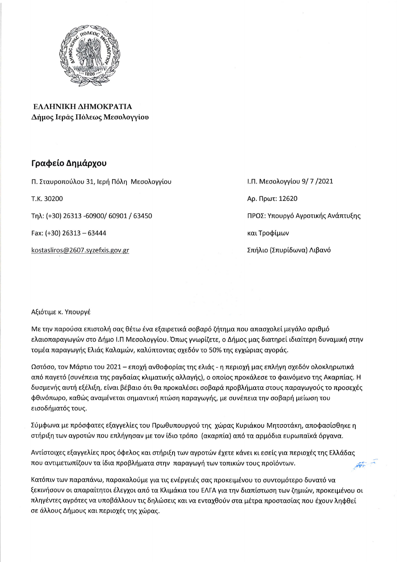

ΕΛΛΗΝΙΚΗ ΔΗΜΟΚΡΑΤΙΑ Δήμος Ιεράς Πόλεως Μεσολογγίου

## Γραφείο Δημάρχου

Π. Σταυροπούλου 31, Ιερή Πόλη Μεσολογγίου

T.K. 30200

Tηλ: (+30) 26313 -60900/ 60901 / 63450

Fax:  $(+30)$  26313 - 63444

kostasliros@2607.syzefxis.gov.gr

Ι.Π. Μεσολογγίου 9/7/2021 Αρ. Πρωτ: 12620 ΠΡΟΣ: Υπουργό Αγροτικής Ανάπτυξης και Τροφίμων Σπήλιο (Σπυρίδωνα) Λιβανό

## Αξιότιμε κ. Υπουργέ

Με την παρούσα επιστολή σας θέτω ένα εξαιρετικά σοβαρό ζήτημα που απασχολεί μεγάλο αριθμό ελαιοπαραγωγών στο Δήμο Ι.Π Μεσολογγίου. Όπως γνωρίζετε, ο Δήμος μας διατηρεί ιδιαίτερη δυναμική στην τομέα παραγωγής Ελιάς Καλαμών, καλύπτοντας σχεδόν το 50% της εγχώριας αγοράς.

Ωστόσο, τον Μάρτιο του 2021 – εποχή ανθοφορίας της ελιάς - η περιοχή μας επλήγη σχεδόν ολοκληρωτικά από παγετό (συνέπεια της ραγδαίας κλιματικής αλλαγής), ο οποίος προκάλεσε το φαινόμενο της Ακαρπίας. Η δυσμενής αυτή εξέλιξη, είναι βέβαιο ότι θα προκαλέσει σοβαρά προβλήματα στους παραγωγούς το προσεχές φθινόπωρο, καθώς αναμένεται σημαντική πτώση παραγωγής, με συνέπεια την σοβαρή μείωση του εισοδήματός τους.

Σύμφωνα με πρόσφατες εξαγγελίες του Πρωθυπουργού της χώρας Κυριάκου Μητσοτάκη, αποφασίσθηκε η στήριξη των αγροτών που επλήγησαν με τον ίδιο τρόπο (ακαρπία) από τα αρμόδια ευρωπαϊκά όργανα.

Αντίστοιχες εξαγγελίες προς όφελος και στήριξη των αγροτών έχετε κάνει κι εσείς για περιοχές της Ελλάδας που αντιμετωπίζουν τα ίδια προβλήματα στην παραγωγή των τοπικών τους προϊόντων. **Letter** 

Κατόπιν των παραπάνω, παρακαλούμε για τις ενέργειές σας προκειμένου το συντομότερο δυνατό να ξεκινήσουν οι απαραίτητοι έλεγχοι από τα Κλιμάκια του ΕΛΓΑ για την διαπίστωση των ζημιών, προκειμένου οι πληγέντες αγρότες να υποβάλλουν τις δηλώσεις και να ενταχθούν στα μέτρα προστασίας που έχουν ληφθεί σε άλλους Δήμους και περιοχές της χώρας.